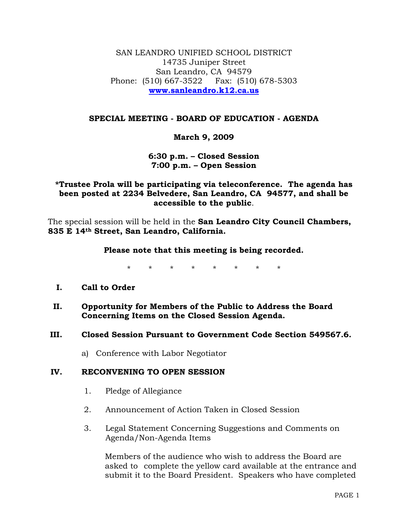SAN LEANDRO UNIFIED SCHOOL DISTRICT 14735 Juniper Street San Leandro, CA 94579 Phone: (510) 667-3522 Fax: (510) 678-5303 **www.sanleandro.k12.ca.us**

### **SPECIAL MEETING - BOARD OF EDUCATION - AGENDA**

# **March 9, 2009**

### **6:30 p.m. – Closed Session 7:00 p.m. – Open Session**

# **\*Trustee Prola will be participating via teleconference. The agenda has been posted at 2234 Belvedere, San Leandro, CA 94577, and shall be accessible to the public**.

The special session will be held in the **San Leandro City Council Chambers, 835 E 14th Street, San Leandro, California.** 

#### **Please note that this meeting is being recorded.**

\* \* \* \* \* \* \* \*

# **I. Call to Order**

**II. Opportunity for Members of the Public to Address the Board Concerning Items on the Closed Session Agenda.** 

#### **III. Closed Session Pursuant to Government Code Section 549567.6.**

a) Conference with Labor Negotiator

# **IV. RECONVENING TO OPEN SESSION**

- 1. Pledge of Allegiance
- 2. Announcement of Action Taken in Closed Session
- 3. Legal Statement Concerning Suggestions and Comments on Agenda/Non-Agenda Items

 Members of the audience who wish to address the Board are asked to complete the yellow card available at the entrance and submit it to the Board President. Speakers who have completed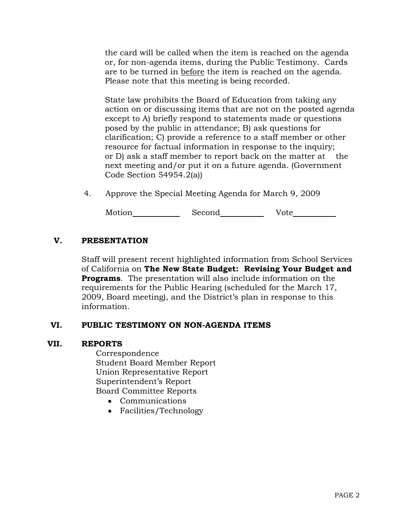the card will be called when the item is reached on the agenda or, for non-agenda items, during the Public Testimony. Cards are to be turned in before the item is reached on the agenda. Please note that this meeting is being recorded.

 State law prohibits the Board of Education from taking any action on or discussing items that are not on the posted agenda except to A) briefly respond to statements made or questions posed by the public in attendance; B) ask questions for clarification; C) provide a reference to a staff member or other resource for factual information in response to the inquiry; or D) ask a staff member to report back on the matter at the next meeting and/or put it on a future agenda. (Government Code Section 54954.2(a))

4. Approve the Special Meeting Agenda for March 9, 2009

Motion Second Vote

# **V. PRESENTATION**

Staff will present recent highlighted information from School Services of California on **The New State Budget: Revising Your Budget and Programs**. The presentation will also include information on the requirements for the Public Hearing (scheduled for the March 17, 2009, Board meeting), and the District's plan in response to this information.

# **VI. PUBLIC TESTIMONY ON NON-AGENDA ITEMS**

#### **VII. REPORTS**

Correspondence Student Board Member Report Union Representative Report Superintendent's Report Board Committee Reports

- Communications
- Facilities/Technology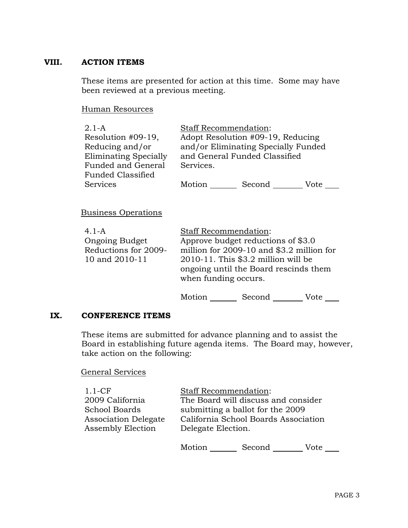### **VIII. ACTION ITEMS**

These items are presented for action at this time. Some may have been reviewed at a previous meeting.

#### Human Resources

| $2.1 - A$<br>Resolution #09-19,<br>Reducing and/or<br>Eliminating Specially<br>Funded and General<br>Funded Classified | <b>Staff Recommendation:</b><br>Adopt Resolution #09-19, Reducing<br>and/or Eliminating Specially Funded<br>and General Funded Classified<br>Services.                                             |  |
|------------------------------------------------------------------------------------------------------------------------|----------------------------------------------------------------------------------------------------------------------------------------------------------------------------------------------------|--|
| Services                                                                                                               | Motion<br>Second<br>Vote                                                                                                                                                                           |  |
| <b>Business Operations</b>                                                                                             |                                                                                                                                                                                                    |  |
| $4.1 - A$<br><b>Ongoing Budget</b><br>Reductions for 2009-<br>10 and 2010-11                                           | <b>Staff Recommendation:</b><br>Approve budget reductions of \$3.0<br>million for 2009-10 and \$3.2 million for<br>$2010-11$ . This \$3.2 million will be<br>ongoing until the Board rescinds them |  |

Motion Second Vote

#### **IX. CONFERENCE ITEMS**

These items are submitted for advance planning and to assist the Board in establishing future agenda items. The Board may, however, take action on the following:

when funding occurs.

### General Services

| $1.1$ -CF                   | <b>Staff Recommendation:</b>         |  |
|-----------------------------|--------------------------------------|--|
| 2009 California             | The Board will discuss and consider  |  |
| <b>School Boards</b>        | submitting a ballot for the 2009     |  |
| <b>Association Delegate</b> | California School Boards Association |  |
| <b>Assembly Election</b>    | Delegate Election.                   |  |
|                             |                                      |  |
|                             |                                      |  |